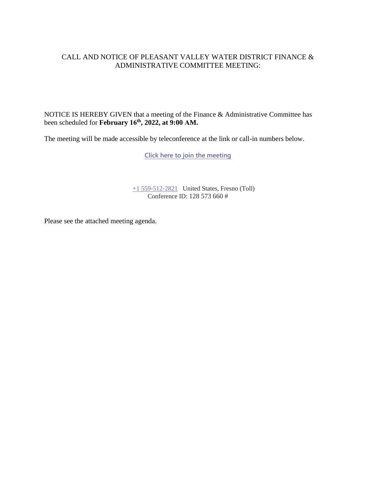## CALL AND NOTICE OF PLEASANT VALLEY WATER DISTRICT FINANCE & ADMINISTRATIVE COMMITTEE MEETING:

NOTICE IS HEREBY GIVEN that a meeting of the Finance & Administrative Committee has been scheduled for **February 16th , 2022, at 9:00 AM.**

The meeting will be made accessible by teleconference at the link or call-in numbers below.

**[Click here to join the meeting](https://teams.microsoft.com/l/meetup-join/19%3ameeting_MTNhYTdkNzItN2I1ZS00OTRjLWJmMjYtMDUzNDc3OWQxYmJm%40thread.v2/0?context=%7b%22Tid%22%3a%22a6cf659f-2360-4ff9-9e8d-045f48434ada%22%2c%22Oid%22%3a%22d7c07c21-aea1-4965-a48d-46a35d2818b4%22%7d)**

[+1 559-512-2821](tel:+15595122821,,85232084# ) United States, Fresno (Toll) Conference ID: 128 573 660 #

Please see the attached meeting agenda.